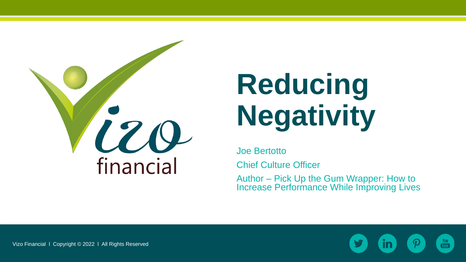

# **Reducing Negativity**

Joe Bertotto

Chief Culture Officer

Author – Pick Up the Gum Wrapper: How to Increase Performance While Improving Lives

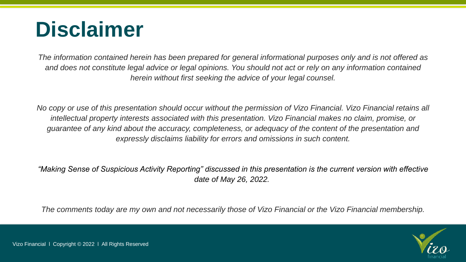## **Disclaimer**

*The information contained herein has been prepared for general informational purposes only and is not offered as and does not constitute legal advice or legal opinions. You should not act or rely on any information contained herein without first seeking the advice of your legal counsel.* 

*No copy or use of this presentation should occur without the permission of Vizo Financial. Vizo Financial retains all intellectual property interests associated with this presentation. Vizo Financial makes no claim, promise, or guarantee of any kind about the accuracy, completeness, or adequacy of the content of the presentation and expressly disclaims liability for errors and omissions in such content.*

*"Making Sense of Suspicious Activity Reporting" discussed in this presentation is the current version with effective date of May 26, 2022.*

*The comments today are my own and not necessarily those of Vizo Financial or the Vizo Financial membership.*

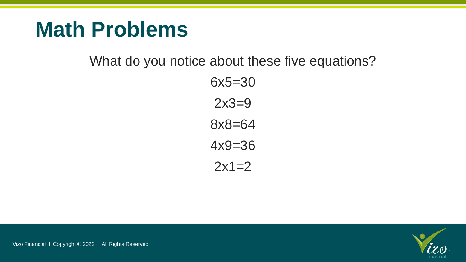#### **Math Problems**

What do you notice about these five equations?

6x5=30 2x3=9 8x8=64 4x9=36  $2x1=2$ 

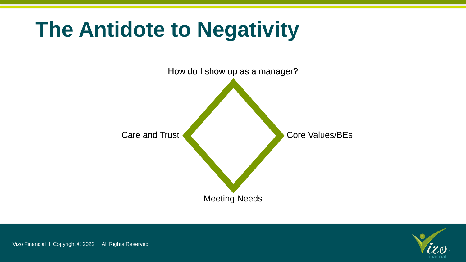## **The Antidote to Negativity**



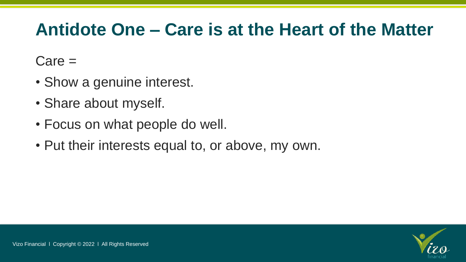#### **Antidote One – Care is at the Heart of the Matter**

Care =

- Show a genuine interest.
- Share about myself.
- Focus on what people do well.
- Put their interests equal to, or above, my own.

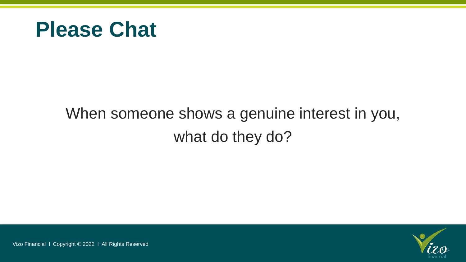

#### When someone shows a genuine interest in you, what do they do?

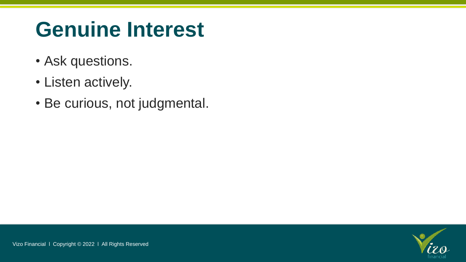## **Genuine Interest**

- Ask questions.
- Listen actively.
- Be curious, not judgmental.

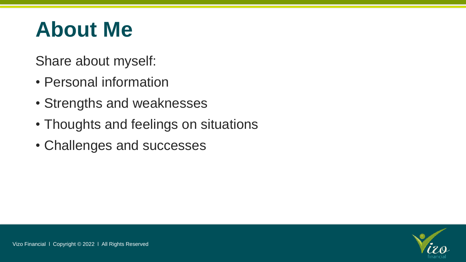## **About Me**

Share about myself:

- Personal information
- Strengths and weaknesses
- Thoughts and feelings on situations
- Challenges and successes

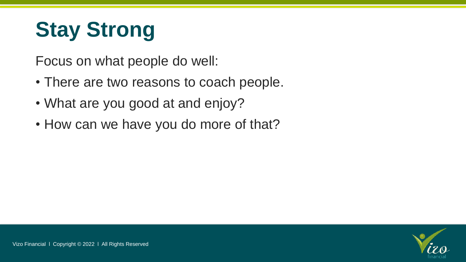## **Stay Strong**

Focus on what people do well:

- There are two reasons to coach people.
- What are you good at and enjoy?
- How can we have you do more of that?

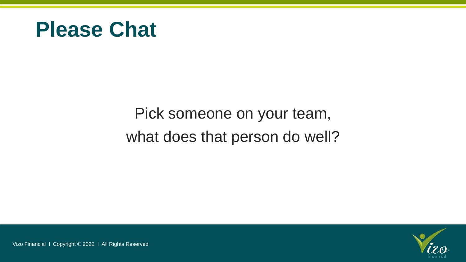#### **Please Chat**

#### Pick someone on your team, what does that person do well?

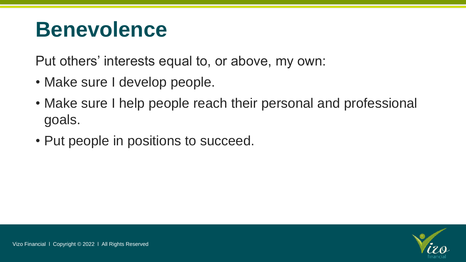### **Benevolence**

Put others' interests equal to, or above, my own:

- Make sure I develop people.
- Make sure I help people reach their personal and professional goals.
- Put people in positions to succeed.

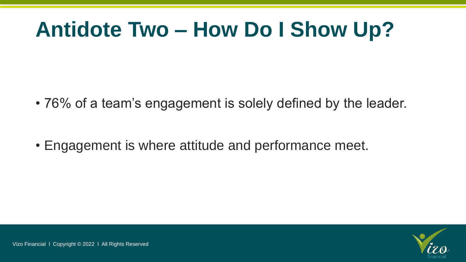## **Antidote Two – How Do I Show Up?**

• 76% of a team's engagement is solely defined by the leader.

• Engagement is where attitude and performance meet.

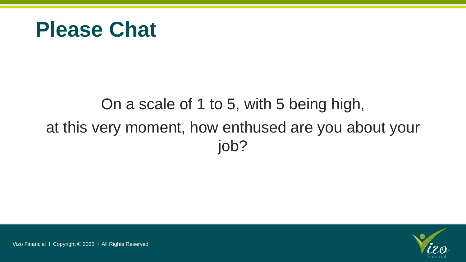#### **Please Chat**

#### On a scale of 1 to 5, with 5 being high, at this very moment, how enthused are you about your job?

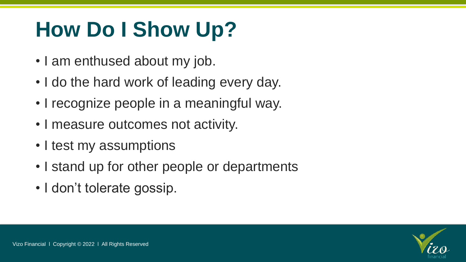## **How Do I Show Up?**

- I am enthused about my job.
- I do the hard work of leading every day.
- I recognize people in a meaningful way.
- I measure outcomes not activity.
- I test my assumptions
- I stand up for other people or departments
- I don't tolerate gossip.

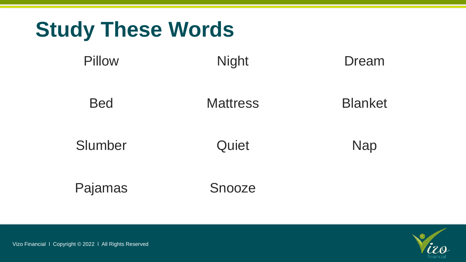

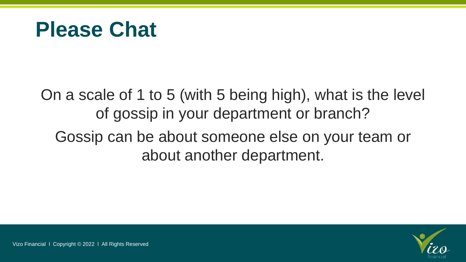#### **Please Chat**

On a scale of 1 to 5 (with 5 being high), what is the level of gossip in your department or branch? Gossip can be about someone else on your team or about another department.

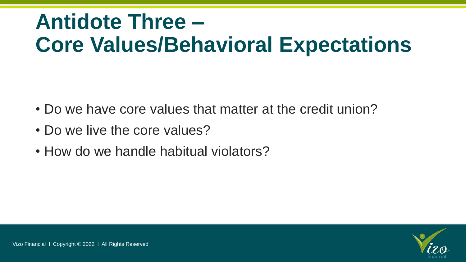## **Antidote Three – Core Values/Behavioral Expectations**

- Do we have core values that matter at the credit union?
- Do we live the core values?
- How do we handle habitual violators?

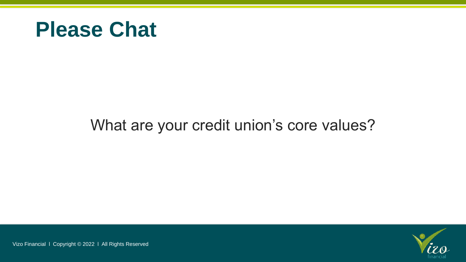

#### What are your credit union's core values?

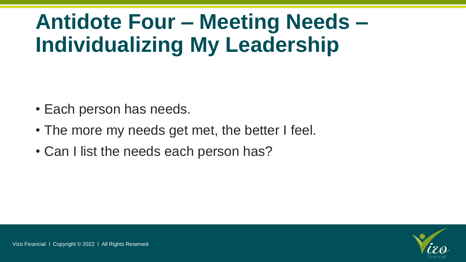## **Antidote Four – Meeting Needs – Individualizing My Leadership**

- Each person has needs.
- The more my needs get met, the better I feel.
- Can I list the needs each person has?

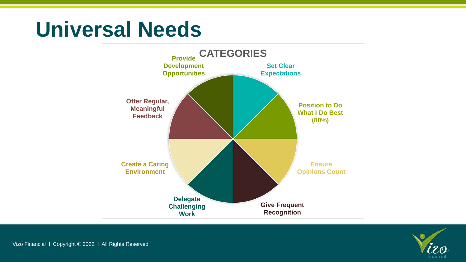### **Universal Needs**



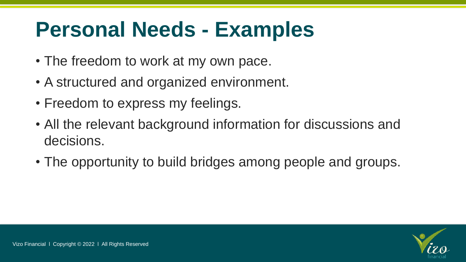## **Personal Needs - Examples**

- The freedom to work at my own pace.
- A structured and organized environment.
- Freedom to express my feelings.
- All the relevant background information for discussions and decisions.
- The opportunity to build bridges among people and groups.

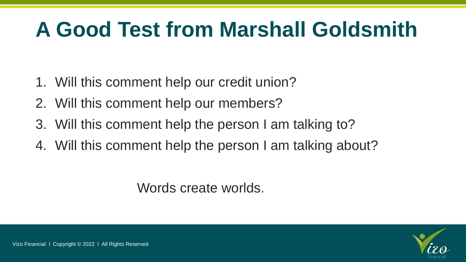## **A Good Test from Marshall Goldsmith**

- 1. Will this comment help our credit union?
- 2. Will this comment help our members?
- 3. Will this comment help the person I am talking to?
- 4. Will this comment help the person I am talking about?

Words create worlds.